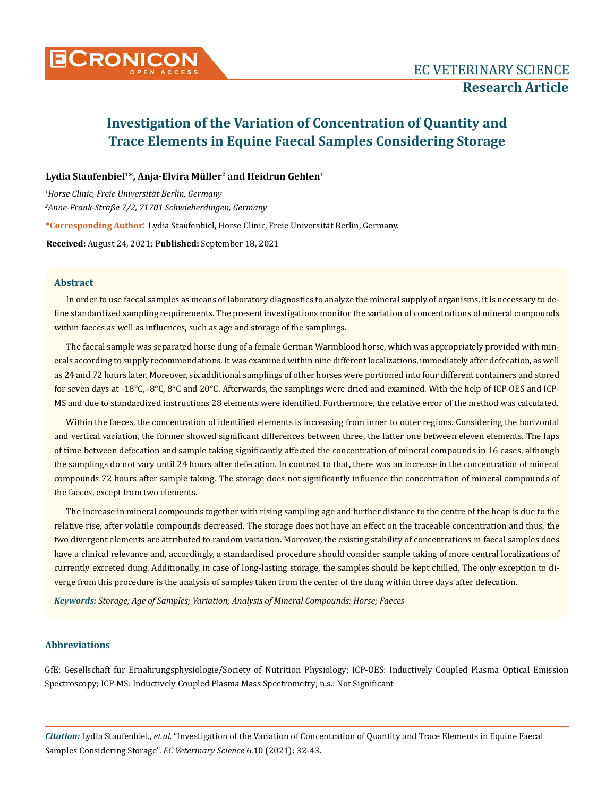

# Lydia Staufenbiel<sup>1\*</sup>, Anja-Elvira Müller<sup>2</sup> and Heidrun Gehlen<sup>1</sup>

*1 Horse Clinic, Freie Universität Berlin, Germany 2 Anne-Frank-Straße 7/2, 71701 Schwieberdingen, Germany*

**\*Corresponding Author**: Lydia Staufenbiel, Horse Clinic, Freie Universität Berlin, Germany.

**Received:** August 24, 2021; **Published:** September 18, 2021

## **Abstract**

In order to use faecal samples as means of laboratory diagnostics to analyze the mineral supply of organisms, it is necessary to define standardized sampling requirements. The present investigations monitor the variation of concentrations of mineral compounds within faeces as well as influences, such as age and storage of the samplings.

The faecal sample was separated horse dung of a female German Warmblood horse, which was appropriately provided with minerals according to supply recommendations. It was examined within nine different localizations, immediately after defecation, as well as 24 and 72 hours later. Moreover, six additional samplings of other horses were portioned into four different containers and stored for seven days at -18°C, -8°C, 8°C and 20°C. Afterwards, the samplings were dried and examined. With the help of ICP-OES and ICP-MS and due to standardized instructions 28 elements were identified. Furthermore, the relative error of the method was calculated.

Within the faeces, the concentration of identified elements is increasing from inner to outer regions. Considering the horizontal and vertical variation, the former showed significant differences between three, the latter one between eleven elements. The laps of time between defecation and sample taking significantly affected the concentration of mineral compounds in 16 cases, although the samplings do not vary until 24 hours after defecation. In contrast to that, there was an increase in the concentration of mineral compounds 72 hours after sample taking. The storage does not significantly influence the concentration of mineral compounds of the faeces, except from two elements.

The increase in mineral compounds together with rising sampling age and further distance to the centre of the heap is due to the relative rise, after volatile compounds decreased. The storage does not have an effect on the traceable concentration and thus, the two divergent elements are attributed to random variation. Moreover, the existing stability of concentrations in faecal samples does have a clinical relevance and, accordingly, a standardised procedure should consider sample taking of more central localizations of currently excreted dung. Additionally, in case of long-lasting storage, the samples should be kept chilled. The only exception to diverge from this procedure is the analysis of samples taken from the center of the dung within three days after defecation.

*Keywords: Storage; Age of Samples; Variation; Analysis of Mineral Compounds; Horse; Faeces*

## **Abbreviations**

GfE: Gesellschaft für Ernährungsphysiologie/Society of Nutrition Physiology; ICP-OES: Inductively Coupled Plasma Optical Emission Spectroscopy; ICP-MS: Inductively Coupled Plasma Mass Spectrometry; n.s.: Not Significant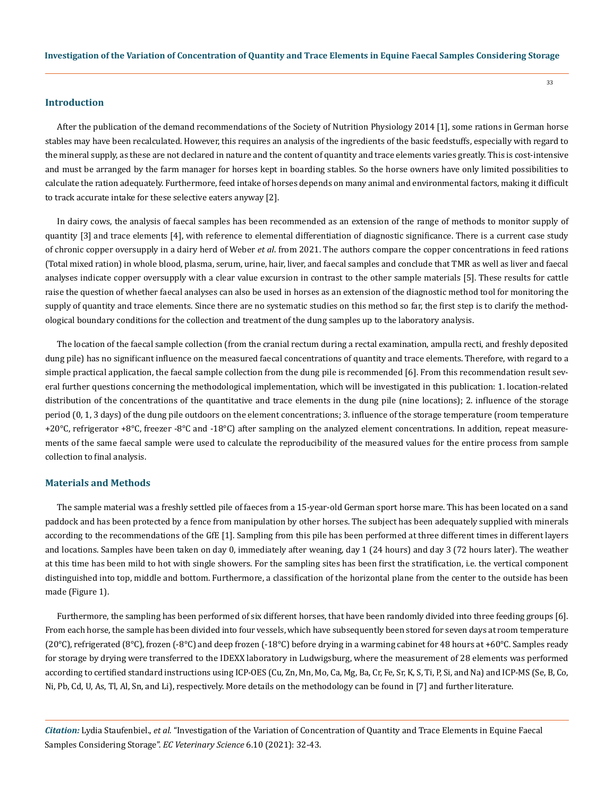#### **Introduction**

After the publication of the demand recommendations of the Society of Nutrition Physiology 2014 [1], some rations in German horse stables may have been recalculated. However, this requires an analysis of the ingredients of the basic feedstuffs, especially with regard to the mineral supply, as these are not declared in nature and the content of quantity and trace elements varies greatly. This is cost-intensive and must be arranged by the farm manager for horses kept in boarding stables. So the horse owners have only limited possibilities to calculate the ration adequately. Furthermore, feed intake of horses depends on many animal and environmental factors, making it difficult to track accurate intake for these selective eaters anyway [2].

In dairy cows, the analysis of faecal samples has been recommended as an extension of the range of methods to monitor supply of quantity [3] and trace elements [4], with reference to elemental differentiation of diagnostic significance. There is a current case study of chronic copper oversupply in a dairy herd of Weber *et al*. from 2021. The authors compare the copper concentrations in feed rations (Total mixed ration) in whole blood, plasma, serum, urine, hair, liver, and faecal samples and conclude that TMR as well as liver and faecal analyses indicate copper oversupply with a clear value excursion in contrast to the other sample materials [5]. These results for cattle raise the question of whether faecal analyses can also be used in horses as an extension of the diagnostic method tool for monitoring the supply of quantity and trace elements. Since there are no systematic studies on this method so far, the first step is to clarify the methodological boundary conditions for the collection and treatment of the dung samples up to the laboratory analysis.

The location of the faecal sample collection (from the cranial rectum during a rectal examination, ampulla recti, and freshly deposited dung pile) has no significant influence on the measured faecal concentrations of quantity and trace elements. Therefore, with regard to a simple practical application, the faecal sample collection from the dung pile is recommended [6]. From this recommendation result several further questions concerning the methodological implementation, which will be investigated in this publication: 1. location-related distribution of the concentrations of the quantitative and trace elements in the dung pile (nine locations); 2. influence of the storage period (0, 1, 3 days) of the dung pile outdoors on the element concentrations; 3. influence of the storage temperature (room temperature +20°C, refrigerator +8°C, freezer -8°C and -18°C) after sampling on the analyzed element concentrations. In addition, repeat measurements of the same faecal sample were used to calculate the reproducibility of the measured values for the entire process from sample collection to final analysis.

## **Materials and Methods**

The sample material was a freshly settled pile of faeces from a 15-year-old German sport horse mare. This has been located on a sand paddock and has been protected by a fence from manipulation by other horses. The subject has been adequately supplied with minerals according to the recommendations of the GfE [1]. Sampling from this pile has been performed at three different times in different layers and locations. Samples have been taken on day 0, immediately after weaning, day 1 (24 hours) and day 3 (72 hours later). The weather at this time has been mild to hot with single showers. For the sampling sites has been first the stratification, i.e. the vertical component distinguished into top, middle and bottom. Furthermore, a classification of the horizontal plane from the center to the outside has been made (Figure 1).

Furthermore, the sampling has been performed of six different horses, that have been randomly divided into three feeding groups [6]. From each horse, the sample has been divided into four vessels, which have subsequently been stored for seven days at room temperature (20 $^{\circ}$ C), refrigerated (8 $^{\circ}$ C), frozen (-8 $^{\circ}$ C) and deep frozen (-18 $^{\circ}$ C) before drying in a warming cabinet for 48 hours at +60 $^{\circ}$ C. Samples ready for storage by drying were transferred to the IDEXX laboratory in Ludwigsburg, where the measurement of 28 elements was performed according to certified standard instructions using ICP-OES (Cu, Zn, Mn, Mo, Ca, Mg, Ba, Cr, Fe, Sr, K, S, Ti, P, Si, and Na) and ICP-MS (Se, B, Co, Ni, Pb, Cd, U, As, Tl, Al, Sn, and Li), respectively. More details on the methodology can be found in [7] and further literature.

*Citation:* Lydia Staufenbiel., *et al.* "Investigation of the Variation of Concentration of Quantity and Trace Elements in Equine Faecal Samples Considering Storage". *EC Veterinary Science* 6.10 (2021): 32-43.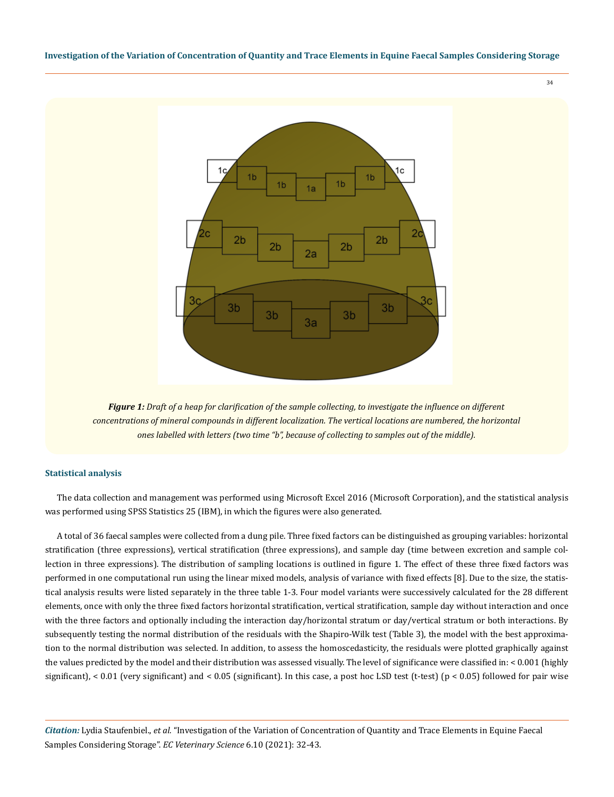

*Figure 1: Draft of a heap for clarification of the sample collecting, to investigate the influence on different concentrations of mineral compounds in different localization. The vertical locations are numbered, the horizontal ones labelled with letters (two time "b", because of collecting to samples out of the middle).*

## **Statistical analysis**

The data collection and management was performed using Microsoft Excel 2016 (Microsoft Corporation), and the statistical analysis was performed using SPSS Statistics 25 (IBM), in which the figures were also generated.

A total of 36 faecal samples were collected from a dung pile. Three fixed factors can be distinguished as grouping variables: horizontal stratification (three expressions), vertical stratification (three expressions), and sample day (time between excretion and sample collection in three expressions). The distribution of sampling locations is outlined in figure 1. The effect of these three fixed factors was performed in one computational run using the linear mixed models, analysis of variance with fixed effects [8]. Due to the size, the statistical analysis results were listed separately in the three table 1-3. Four model variants were successively calculated for the 28 different elements, once with only the three fixed factors horizontal stratification, vertical stratification, sample day without interaction and once with the three factors and optionally including the interaction day/horizontal stratum or day/vertical stratum or both interactions. By subsequently testing the normal distribution of the residuals with the Shapiro-Wilk test (Table 3), the model with the best approximation to the normal distribution was selected. In addition, to assess the homoscedasticity, the residuals were plotted graphically against the values predicted by the model and their distribution was assessed visually. The level of significance were classified in: < 0.001 (highly significant),  $< 0.01$  (very significant) and  $< 0.05$  (significant). In this case, a post hoc LSD test (t-test) (p  $< 0.05$ ) followed for pair wise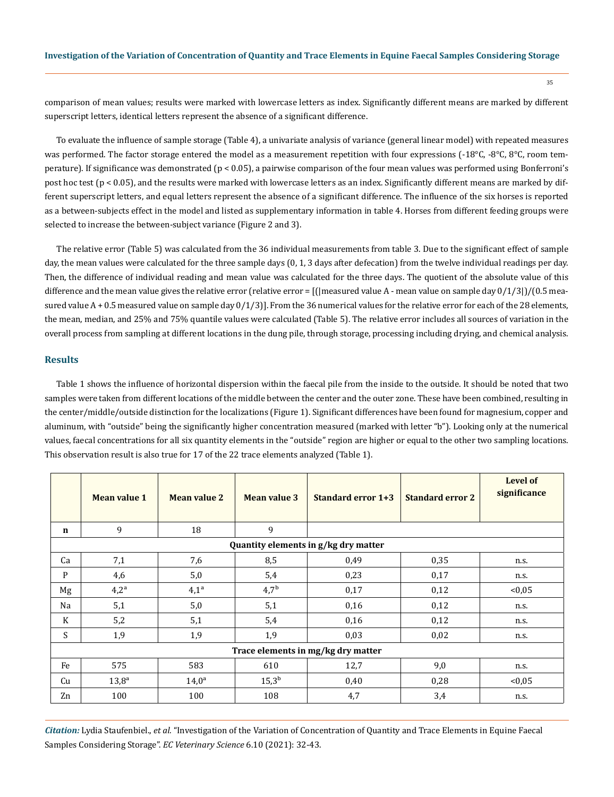comparison of mean values; results were marked with lowercase letters as index. Significantly different means are marked by different superscript letters, identical letters represent the absence of a significant difference.

To evaluate the influence of sample storage (Table 4), a univariate analysis of variance (general linear model) with repeated measures was performed. The factor storage entered the model as a measurement repetition with four expressions (-18°C, -8°C, 8°C, room temperature). If significance was demonstrated (p < 0.05), a pairwise comparison of the four mean values was performed using Bonferroni's post hoc test (p < 0.05), and the results were marked with lowercase letters as an index. Significantly different means are marked by different superscript letters, and equal letters represent the absence of a significant difference. The influence of the six horses is reported as a between-subjects effect in the model and listed as supplementary information in table 4. Horses from different feeding groups were selected to increase the between-subject variance (Figure 2 and 3).

The relative error (Table 5) was calculated from the 36 individual measurements from table 3. Due to the significant effect of sample day, the mean values were calculated for the three sample days (0, 1, 3 days after defecation) from the twelve individual readings per day. Then, the difference of individual reading and mean value was calculated for the three days. The quotient of the absolute value of this difference and the mean value gives the relative error (relative error = [(|measured value A - mean value on sample day  $0/1/3$ ])/(0.5 measured value  $A + 0.5$  measured value on sample day  $0/1/3$ ]. From the 36 numerical values for the relative error for each of the 28 elements, the mean, median, and 25% and 75% quantile values were calculated (Table 5). The relative error includes all sources of variation in the overall process from sampling at different locations in the dung pile, through storage, processing including drying, and chemical analysis.

## **Results**

Table 1 shows the influence of horizontal dispersion within the faecal pile from the inside to the outside. It should be noted that two samples were taken from different locations of the middle between the center and the outer zone. These have been combined, resulting in the center/middle/outside distinction for the localizations (Figure 1). Significant differences have been found for magnesium, copper and aluminum, with "outside" being the significantly higher concentration measured (marked with letter "b"). Looking only at the numerical values, faecal concentrations for all six quantity elements in the "outside" region are higher or equal to the other two sampling locations. This observation result is also true for 17 of the 22 trace elements analyzed (Table 1).

|             | <b>Mean value 1</b> | <b>Mean value 2</b> | <b>Mean value 3</b> | Standard error 1+3                   | <b>Standard error 2</b> | <b>Level of</b><br>significance |
|-------------|---------------------|---------------------|---------------------|--------------------------------------|-------------------------|---------------------------------|
| $\mathbf n$ | 9                   | 18                  | 9                   |                                      |                         |                                 |
|             |                     |                     |                     | Quantity elements in g/kg dry matter |                         |                                 |
| Ca          | 7,1                 | 7,6                 | 8,5                 | 0.49                                 | 0.35                    | n.s.                            |
| P           | 4,6                 | 5,0                 | 5,4                 | 0,23                                 | 0,17                    | n.s.                            |
| Mg          | $4,2^{\rm a}$       | $4,1^a$             | $4,7^{\rm b}$       | 0,17                                 | 0,12                    | < 0.05                          |
| Na          | 5,1                 | 5,0                 | 5,1                 | 0,16                                 | 0,12                    | n.s.                            |
| K           | 5,2                 | 5,1                 | 5,4                 | 0,16                                 | 0,12                    | n.s.                            |
| S           | 1,9                 | 1,9                 | 1,9                 | 0.03                                 | 0.02                    | n.s.                            |
|             |                     |                     |                     | Trace elements in mg/kg dry matter   |                         |                                 |
| Fe          | 575                 | 583                 | 610                 | 12,7                                 | 9,0                     | n.s.                            |
| Cu          | $13,8^{\rm a}$      | $14,0^{\rm a}$      | $15,3^{\rm b}$      | 0,40                                 | 0,28                    | < 0.05                          |
| Zn          | 100                 | 100                 | 108                 | 4,7                                  | 3,4                     | n.s.                            |

*Citation:* Lydia Staufenbiel., *et al.* "Investigation of the Variation of Concentration of Quantity and Trace Elements in Equine Faecal Samples Considering Storage". *EC Veterinary Science* 6.10 (2021): 32-43.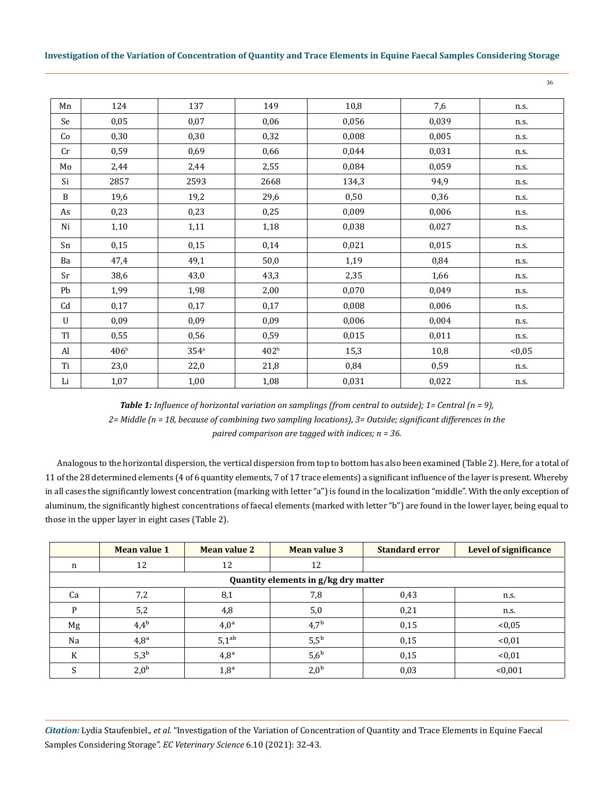36

| Mn        | 124              | 137              | 149              | 10,8  | 7,6   | n.s.   |
|-----------|------------------|------------------|------------------|-------|-------|--------|
| Se        | 0,05             | 0,07             | 0,06             | 0,056 | 0,039 | n.s.   |
| Co        | 0,30             | 0,30             | 0,32             | 0,008 | 0,005 | n.s.   |
| Cr        | 0,59             | 0,69             | 0,66             | 0,044 | 0,031 | n.s.   |
| Mo        | 2,44             | 2,44             | 2,55             | 0,084 | 0,059 | n.s.   |
| Si        | 2857             | 2593             | 2668             | 134,3 | 94,9  | n.s.   |
| B         | 19,6             | 19,2             | 29,6             | 0,50  | 0,36  | n.s.   |
| As        | 0,23             | 0,23             | 0,25             | 0,009 | 0,006 | n.s.   |
| Ni        | 1,10             | 1,11             | 1,18             | 0,038 | 0,027 | n.s.   |
| Sn        | 0,15             | 0,15             | 0,14             | 0,021 | 0,015 | n.s.   |
| Ba        | 47,4             | 49,1             | 50,0             | 1,19  | 0,84  | n.s.   |
| Sr        | 38,6             | 43,0             | 43,3             | 2,35  | 1,66  | n.s.   |
| Pb        | 1,99             | 1,98             | 2,00             | 0,070 | 0,049 | n.s.   |
| Cd        | 0,17             | 0,17             | 0,17             | 0,008 | 0,006 | n.s.   |
| U         | 0,09             | 0,09             | 0,09             | 0,006 | 0,004 | n.s.   |
| <b>Tl</b> | 0,55             | 0,56             | 0,59             | 0,015 | 0,011 | n.s.   |
| Al        | 406 <sup>b</sup> | 354 <sup>a</sup> | 402 <sup>b</sup> | 15,3  | 10,8  | < 0.05 |
| Ti        | 23,0             | 22,0             | 21,8             | 0,84  | 0,59  | n.s.   |
| Li        | 1,07             | 1,00             | 1,08             | 0,031 | 0,022 | n.s.   |

*Table 1: Influence of horizontal variation on samplings (from central to outside); 1= Central (n = 9), 2= Middle (n = 18, because of combining two sampling locations), 3= Outside; significant differences in the paired comparison are tagged with indices; n = 36.*

Analogous to the horizontal dispersion, the vertical dispersion from top to bottom has also been examined (Table 2). Here, for a total of 11 of the 28 determined elements (4 of 6 quantity elements, 7 of 17 trace elements) a significant influence of the layer is present. Whereby in all cases the significantly lowest concentration (marking with letter "a") is found in the localization "middle". With the only exception of aluminum, the significantly highest concentrations of faecal elements (marked with letter "b") are found in the lower layer, being equal to those in the upper layer in eight cases (Table 2).

|    | Mean value 1                         | <b>Mean value 2</b> | <b>Mean value 3</b> | <b>Standard error</b> | <b>Level of significance</b> |  |  |  |  |
|----|--------------------------------------|---------------------|---------------------|-----------------------|------------------------------|--|--|--|--|
| n  | 12                                   | 12                  | 12                  |                       |                              |  |  |  |  |
|    | Quantity elements in g/kg dry matter |                     |                     |                       |                              |  |  |  |  |
| Ca | 7,2                                  | 8,1                 | 7,8                 | 0,43                  | n.s.                         |  |  |  |  |
| P  | 5,2                                  | 4,8                 | 5,0                 | 0,21                  | n.s.                         |  |  |  |  |
| Mg | $4,4^{\rm b}$                        | $4,0^a$             | $4,7^{\rm b}$       | 0,15                  | < 0.05                       |  |  |  |  |
| Na | $4,8^{\rm a}$                        | $5,1^{ab}$          | $5,5^{\rm b}$       | 0,15                  | < 0.01                       |  |  |  |  |
| K  | $5,3^{\rm b}$                        | $4,8^{\rm a}$       | $5,6^{\rm b}$       | 0,15                  | < 0.01                       |  |  |  |  |
|    | 2,0 <sup>b</sup>                     | $1,8^{\rm a}$       | 2,0 <sup>b</sup>    | 0,03                  | < 0.001                      |  |  |  |  |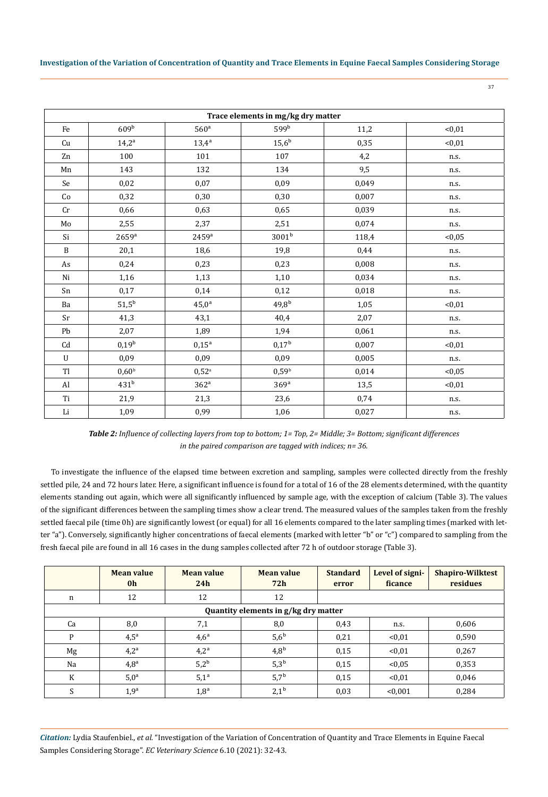37

| Trace elements in mg/kg dry matter |                     |                     |                   |       |         |  |  |
|------------------------------------|---------------------|---------------------|-------------------|-------|---------|--|--|
| Fe                                 | 609 <sup>b</sup>    | 560 <sup>a</sup>    | 599b              | 11,2  | < 0, 01 |  |  |
| Cu                                 | $14,2^{\rm a}$      | $13,4^{\rm a}$      | $15,6^{\rm b}$    | 0,35  | < 0.01  |  |  |
| Zn                                 | 100                 | 101                 | 107               | 4,2   | n.s.    |  |  |
| Mn                                 | 143                 | 132                 | 134               | 9,5   | n.s.    |  |  |
| Se                                 | 0,02                | 0,07                | 0,09              | 0,049 | n.s.    |  |  |
| Co                                 | 0,32                | 0,30                | 0,30              | 0,007 | n.s.    |  |  |
| $\operatorname{Cr}$                | 0,66                | 0,63                | 0,65              | 0,039 | n.s.    |  |  |
| $\rm Mo$                           | 2,55                | 2,37                | 2,51              | 0,074 | n.s.    |  |  |
| Si                                 | $2659$ <sup>a</sup> | $2459$ <sup>a</sup> | 3001 <sup>b</sup> | 118,4 | < 0.05  |  |  |
| $\mathbf B$                        | 20,1                | 18,6                | 19,8              | 0,44  | n.s.    |  |  |
| As                                 | 0,24                | 0,23                | 0,23              | 0,008 | n.s.    |  |  |
| Ni                                 | 1,16                | 1,13                | 1,10              | 0,034 | n.s.    |  |  |
| Sn                                 | 0,17                | 0,14                | 0,12              | 0,018 | n.s.    |  |  |
| Ba                                 | $51,5^{\rm b}$      | $45,0^{\rm a}$      | $49,8^{\rm b}$    | 1,05  | < 0.01  |  |  |
| Sr                                 | 41,3                | 43,1                | 40,4              | 2,07  | n.s.    |  |  |
| Pb                                 | 2,07                | 1,89                | 1,94              | 0,061 | n.s.    |  |  |
| Cd                                 | $0,19^{\rm b}$      | $0,15^{\rm a}$      | $0,17^{\rm b}$    | 0,007 | < 0.01  |  |  |
| U                                  | 0,09                | 0,09                | 0,09              | 0,005 | n.s.    |  |  |
| Tl                                 | 0,60 <sup>b</sup>   | $0,52^{\circ}$      | 0,59 <sup>b</sup> | 0,014 | < 0.05  |  |  |
| $\mathbf{Al}$                      | 431 <sup>b</sup>    | 362 <sup>a</sup>    | 369a              | 13,5  | < 0, 01 |  |  |
| Ti                                 | 21,9                | 21,3                | 23,6              | 0,74  | n.s.    |  |  |
| Li                                 | 1,09                | 0,99                | 1,06              | 0,027 | n.s.    |  |  |

*Table 2: Influence of collecting layers from top to bottom; 1= Top, 2= Middle; 3= Bottom; significant differences in the paired comparison are tagged with indices; n= 36.*

To investigate the influence of the elapsed time between excretion and sampling, samples were collected directly from the freshly settled pile, 24 and 72 hours later. Here, a significant influence is found for a total of 16 of the 28 elements determined, with the quantity elements standing out again, which were all significantly influenced by sample age, with the exception of calcium (Table 3). The values of the significant differences between the sampling times show a clear trend. The measured values of the samples taken from the freshly settled faecal pile (time 0h) are significantly lowest (or equal) for all 16 elements compared to the later sampling times (marked with letter "a"). Conversely, significantly higher concentrations of faecal elements (marked with letter "b" or "c") compared to sampling from the fresh faecal pile are found in all 16 cases in the dung samples collected after 72 h of outdoor storage (Table 3).

|    | <b>Mean value</b><br>0 <sub>h</sub>  | <b>Mean value</b><br>24h | <b>Mean value</b><br>72h | <b>Standard</b><br>error | Level of signi-<br>ficance | <b>Shapiro-Wilktest</b><br>residues |  |  |  |  |
|----|--------------------------------------|--------------------------|--------------------------|--------------------------|----------------------------|-------------------------------------|--|--|--|--|
| n  | 12                                   | 12                       | 12                       |                          |                            |                                     |  |  |  |  |
|    | Quantity elements in g/kg dry matter |                          |                          |                          |                            |                                     |  |  |  |  |
| Ca | 8,0                                  | 7,1                      | 8,0                      | 0.43                     | n.s.                       | 0,606                               |  |  |  |  |
| P  | $4,5^{\circ}$                        | $4,6^a$                  | $5,6^{\rm b}$            | 0,21                     | < 0.01                     | 0,590                               |  |  |  |  |
| Mg | $4,2^{\rm a}$                        | $4,2^{\rm a}$            | 4.8 <sup>b</sup>         | 0.15                     | < 0.01                     | 0,267                               |  |  |  |  |
| Na | $4,8^{\rm a}$                        | $5,2^b$                  | $5,3^{\rm b}$            | 0.15                     | < 0.05                     | 0,353                               |  |  |  |  |
| K  | $5,0^{\rm a}$                        | $5,1^a$                  | $5,7^{\rm b}$            | 0.15                     | < 0.01                     | 0,046                               |  |  |  |  |
| S  | 1,9 <sup>a</sup>                     | $1,8^a$                  | $2,1^{\rm b}$            | 0,03                     | < 0.001                    | 0,284                               |  |  |  |  |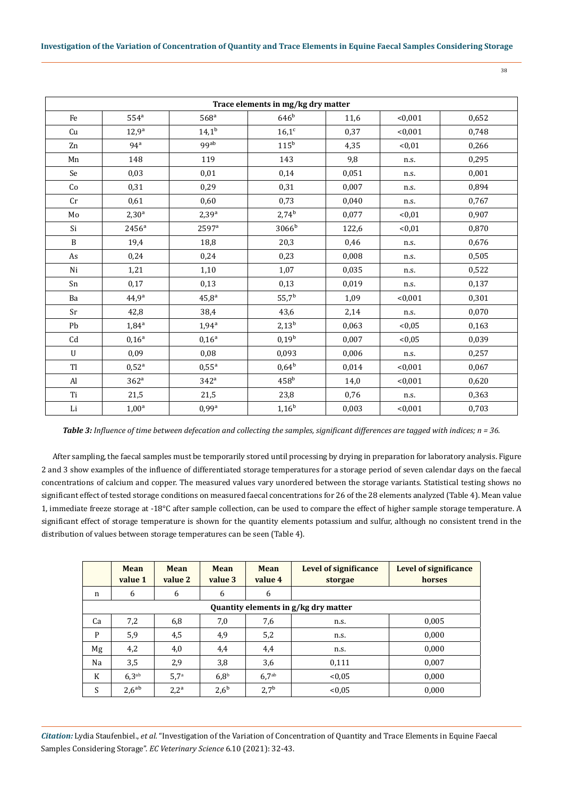| I<br>٩<br>×<br>۰.<br>×.<br>۰. |  |
|-------------------------------|--|

| Trace elements in mg/kg dry matter |                   |                     |                   |       |         |       |  |
|------------------------------------|-------------------|---------------------|-------------------|-------|---------|-------|--|
| Fe                                 | 554 <sup>a</sup>  | 568 <sup>a</sup>    | 646 <sup>b</sup>  | 11,6  | < 0,001 | 0,652 |  |
| Cu                                 | $12,9^a$          | $14,1^{\rm b}$      | $16,1^c$          | 0,37  | < 0,001 | 0,748 |  |
| Zn                                 | 94 <sup>a</sup>   | 99ab                | $115^b$           | 4,35  | < 0.01  | 0,266 |  |
| Mn                                 | 148               | 119                 | 143               | 9,8   | n.s.    | 0,295 |  |
| Se                                 | 0,03              | 0,01                | 0,14              | 0,051 | n.s.    | 0,001 |  |
| Co                                 | 0,31              | 0,29                | 0,31              | 0,007 | n.s.    | 0,894 |  |
| Cr                                 | 0,61              | 0,60                | 0,73              | 0,040 | n.s.    | 0,767 |  |
| Mo                                 | $2,30^{\rm a}$    | $2,39^{\rm a}$      | $2,74^{b}$        | 0,077 | < 0.01  | 0,907 |  |
| Si                                 | 2456 <sup>a</sup> | 2597 <sup>a</sup>   | 3066 <sup>b</sup> | 122,6 | < 0.01  | 0,870 |  |
| B                                  | 19,4              | 18,8                | 20,3              | 0,46  | n.s.    | 0,676 |  |
| As                                 | 0,24              | 0,24                | 0,23              | 0,008 | n.s.    | 0,505 |  |
| Ni                                 | 1,21              | 1,10                | 1,07              | 0,035 | n.s.    | 0,522 |  |
| Sn                                 | 0,17              | 0,13                | 0,13              | 0,019 | n.s.    | 0,137 |  |
| Ba                                 | $44,9^a$          | $45,8^{\rm a}$      | $55,7^{\rm b}$    | 1,09  | < 0,001 | 0,301 |  |
| Sr                                 | 42,8              | 38,4                | 43,6              | 2,14  | n.s.    | 0,070 |  |
| Pb                                 | $1,84^{\rm a}$    | $1,94^{\rm a}$      | $2,13^b$          | 0,063 | <0.05   | 0,163 |  |
| $\mathop{\mathrm{Cd}}$             | $0,16^{\rm a}$    | $0,16^a$            | $0,19^b$          | 0,007 | < 0.05  | 0,039 |  |
| $\mathbf U$                        | 0,09              | 0,08                | 0,093             | 0,006 | n.s.    | 0,257 |  |
| Tl                                 | $0,52^{\rm a}$    | $0,55^{\rm a}$      | $0.64^b$          | 0,014 | < 0,001 | 0,067 |  |
| $\mathbf{Al}$                      | 362 <sup>a</sup>  | 342 <sup>a</sup>    | 458 <sup>b</sup>  | 14,0  | < 0,001 | 0,620 |  |
| Ti                                 | 21,5              | 21,5                | 23,8              | 0,76  | n.s.    | 0,363 |  |
| $\rm Li$                           | $1,00^a$          | $0.99$ <sup>a</sup> | $1,16^{\rm b}$    | 0,003 | < 0,001 | 0,703 |  |

*Table 3: Influence of time between defecation and collecting the samples, significant differences are tagged with indices; n = 36.*

After sampling, the faecal samples must be temporarily stored until processing by drying in preparation for laboratory analysis. Figure 2 and 3 show examples of the influence of differentiated storage temperatures for a storage period of seven calendar days on the faecal concentrations of calcium and copper. The measured values vary unordered between the storage variants. Statistical testing shows no significant effect of tested storage conditions on measured faecal concentrations for 26 of the 28 elements analyzed (Table 4). Mean value 1, immediate freeze storage at -18°C after sample collection, can be used to compare the effect of higher sample storage temperature. A significant effect of storage temperature is shown for the quantity elements potassium and sulfur, although no consistent trend in the distribution of values between storage temperatures can be seen (Table 4).

|    | <b>Mean</b><br>value 1               | <b>Mean</b><br>value 2 | <b>Mean</b><br>value 3 | Mean<br>value 4   | <b>Level of significance</b><br>storgae | Level of significance<br>horses |  |  |  |
|----|--------------------------------------|------------------------|------------------------|-------------------|-----------------------------------------|---------------------------------|--|--|--|
| n  | 6                                    | 6                      | 6                      | 6                 |                                         |                                 |  |  |  |
|    | Quantity elements in g/kg dry matter |                        |                        |                   |                                         |                                 |  |  |  |
| Ca | 7,2                                  | 6,8                    | 7,0                    | 7,6               | n.s.                                    | 0,005                           |  |  |  |
| P  | 5,9                                  | 4,5                    | 4,9                    | 5,2               | n.s.                                    | 0,000                           |  |  |  |
| Mg | 4,2                                  | 4,0                    | 4,4                    | 4,4               | n.s.                                    | 0,000                           |  |  |  |
| Na | 3,5                                  | 2,9                    | 3,8                    | 3,6               | 0,111                                   | 0,007                           |  |  |  |
| K  | 6.3 <sup>ab</sup>                    | 5.7 <sup>a</sup>       | 6,8 <sup>b</sup>       | 6.7 <sup>ab</sup> | < 0.05                                  | 0,000                           |  |  |  |
| S  | $2,6^{ab}$                           | $2.2^{\rm a}$          | $2,6^{\rm b}$          | $2,7^{\rm b}$     | < 0.05                                  | 0,000                           |  |  |  |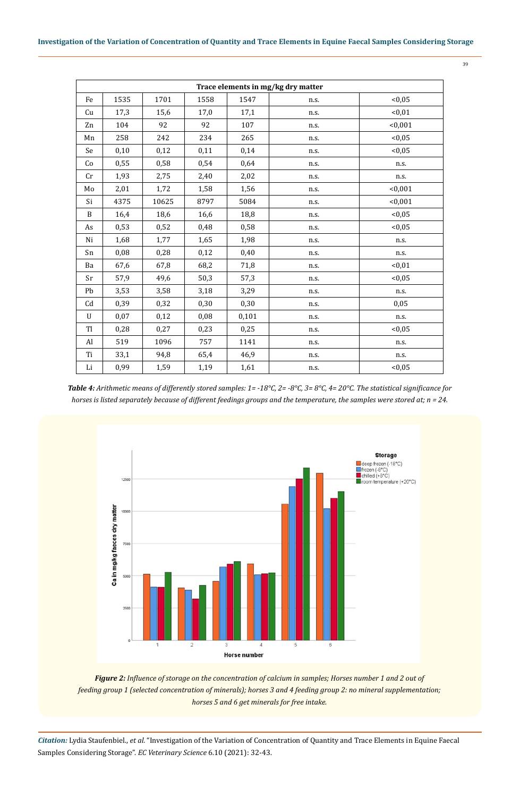|        | S       |  |
|--------|---------|--|
| I<br>× | ٠<br>۰. |  |

|           | Trace elements in mg/kg dry matter |       |      |       |      |         |  |  |  |
|-----------|------------------------------------|-------|------|-------|------|---------|--|--|--|
| Fe        | 1535                               | 1701  | 1558 | 1547  | n.s. | < 0.05  |  |  |  |
| Cu        | 17,3                               | 15,6  | 17,0 | 17,1  | n.s. | < 0.01  |  |  |  |
| Zn        | 104                                | 92    | 92   | 107   | n.s. | < 0,001 |  |  |  |
| Mn        | 258                                | 242   | 234  | 265   | n.s. | < 0.05  |  |  |  |
| Se        | 0,10                               | 0,12  | 0,11 | 0,14  | n.s. | < 0.05  |  |  |  |
| Co        | 0,55                               | 0,58  | 0,54 | 0,64  | n.s. | n.s.    |  |  |  |
| Cr        | 1,93                               | 2,75  | 2,40 | 2,02  | n.s. | n.s.    |  |  |  |
| Mo        | 2,01                               | 1,72  | 1,58 | 1,56  | n.s. | < 0,001 |  |  |  |
| Si        | 4375                               | 10625 | 8797 | 5084  | n.s. | < 0,001 |  |  |  |
| B         | 16,4                               | 18,6  | 16,6 | 18,8  | n.s. | < 0.05  |  |  |  |
| As        | 0,53                               | 0,52  | 0,48 | 0,58  | n.s. | < 0.05  |  |  |  |
| Ni        | 1,68                               | 1,77  | 1,65 | 1,98  | n.s. | n.s.    |  |  |  |
| Sn        | 0,08                               | 0,28  | 0,12 | 0,40  | n.s. | n.s.    |  |  |  |
| Ba        | 67,6                               | 67,8  | 68,2 | 71,8  | n.s. | < 0.01  |  |  |  |
| Sr        | 57,9                               | 49,6  | 50,3 | 57,3  | n.s. | < 0.05  |  |  |  |
| Pb        | 3,53                               | 3,58  | 3,18 | 3,29  | n.s. | n.s.    |  |  |  |
| Cd        | 0,39                               | 0,32  | 0,30 | 0,30  | n.s. | 0.05    |  |  |  |
| U         | 0,07                               | 0,12  | 0,08 | 0,101 | n.s. | n.s.    |  |  |  |
| <b>Tl</b> | 0,28                               | 0,27  | 0,23 | 0,25  | n.s. | < 0.05  |  |  |  |
| Al        | 519                                | 1096  | 757  | 1141  | n.s. | n.s.    |  |  |  |
| Ti        | 33,1                               | 94,8  | 65,4 | 46,9  | n.s. | n.s.    |  |  |  |
| Li        | 0,99                               | 1,59  | 1,19 | 1,61  | n.s. | < 0.05  |  |  |  |

*Table 4: Arithmetic means of differently stored samples: 1= -18°C, 2= -8°C, 3= 8°C, 4= 20°C. The statistical significance for horses is listed separately because of different feedings groups and the temperature, the samples were stored at; n = 24.*



*Figure 2: Influence of storage on the concentration of calcium in samples; Horses number 1 and 2 out of feeding group 1 (selected concentration of minerals); horses 3 and 4 feeding group 2: no mineral supplementation; horses 5 and 6 get minerals for free intake.*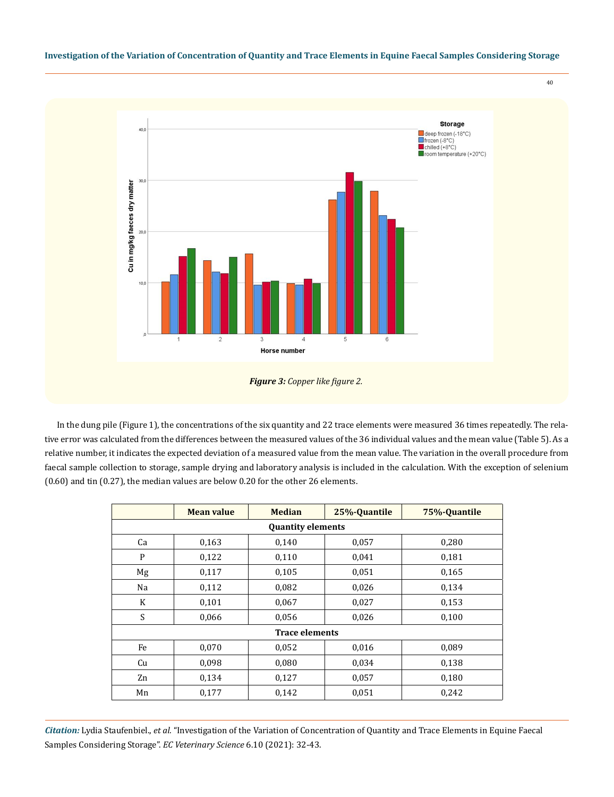

40

In the dung pile (Figure 1), the concentrations of the six quantity and 22 trace elements were measured 36 times repeatedly. The relative error was calculated from the differences between the measured values of the 36 individual values and the mean value (Table 5). As a relative number, it indicates the expected deviation of a measured value from the mean value. The variation in the overall procedure from faecal sample collection to storage, sample drying and laboratory analysis is included in the calculation. With the exception of selenium (0.60) and tin (0.27), the median values are below 0.20 for the other 26 elements.

|                          | <b>Mean value</b> | <b>Median</b>         | 25%-Quantile | 75%-Quantile |  |  |  |  |  |
|--------------------------|-------------------|-----------------------|--------------|--------------|--|--|--|--|--|
| <b>Quantity elements</b> |                   |                       |              |              |  |  |  |  |  |
| Ca                       | 0,163             | 0,140                 | 0,057        | 0,280        |  |  |  |  |  |
| P                        | 0,122             | 0,110                 | 0,041        | 0,181        |  |  |  |  |  |
| Mg                       | 0,117             | 0,105                 | 0,051        | 0,165        |  |  |  |  |  |
| Na                       | 0,112             | 0,082                 | 0,026        | 0,134        |  |  |  |  |  |
| K                        | 0,101             | 0,067                 | 0,027        | 0,153        |  |  |  |  |  |
| S                        | 0,066             | 0,056                 | 0,026        | 0,100        |  |  |  |  |  |
|                          |                   | <b>Trace elements</b> |              |              |  |  |  |  |  |
| Fe                       | 0,070             | 0,052                 | 0,016        | 0,089        |  |  |  |  |  |
| Cu                       | 0,098             | 0,080                 | 0,034        | 0,138        |  |  |  |  |  |
| Zn                       | 0,134             | 0,127                 | 0,057        | 0,180        |  |  |  |  |  |
| Mn                       | 0,177             | 0,142                 | 0,051        | 0,242        |  |  |  |  |  |

*Figure 3: Copper like figure 2.*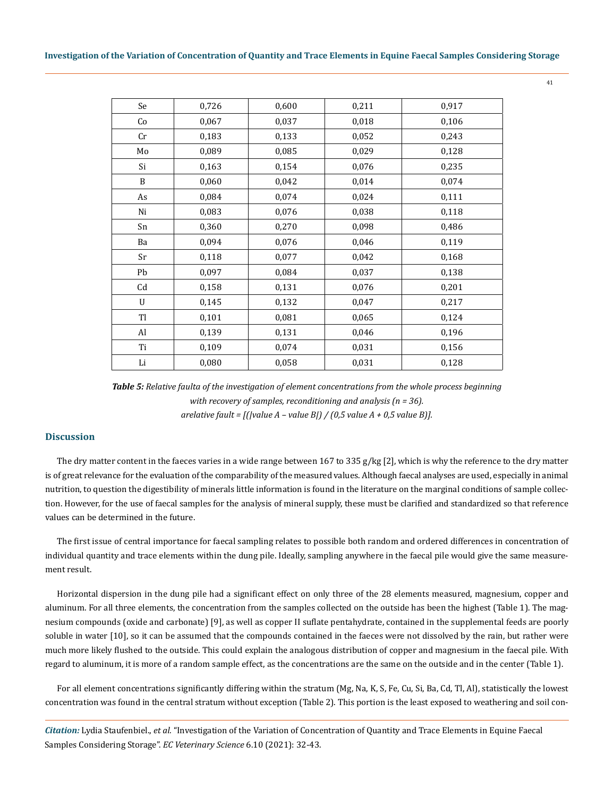| Se             | 0,726 | 0,600 | 0,211 | 0,917 |
|----------------|-------|-------|-------|-------|
| Co             | 0,067 | 0,037 | 0,018 | 0,106 |
| Cr             | 0,183 | 0,133 | 0,052 | 0,243 |
| Mo             | 0,089 | 0,085 | 0,029 | 0,128 |
| Si             | 0,163 | 0,154 | 0,076 | 0,235 |
| B              | 0,060 | 0,042 | 0,014 | 0,074 |
| As             | 0,084 | 0,074 | 0,024 | 0,111 |
| Ni             | 0,083 | 0,076 | 0,038 | 0,118 |
| Sn             | 0,360 | 0,270 | 0,098 | 0,486 |
| Ba             | 0,094 | 0,076 | 0,046 | 0,119 |
| Sr             | 0,118 | 0,077 | 0,042 | 0,168 |
| Pb             | 0,097 | 0,084 | 0,037 | 0,138 |
| Cd             | 0,158 | 0,131 | 0,076 | 0,201 |
| U              | 0,145 | 0,132 | 0,047 | 0,217 |
| T <sub>1</sub> | 0,101 | 0,081 | 0,065 | 0,124 |
| Al             | 0,139 | 0,131 | 0,046 | 0,196 |
| Ti             | 0,109 | 0,074 | 0,031 | 0,156 |
| Li             | 0,080 | 0,058 | 0,031 | 0,128 |

*Table 5: Relative faulta of the investigation of element concentrations from the whole process beginning with recovery of samples, reconditioning and analysis (n = 36). arelative fault = [(|value A – value B|) / (0,5 value A + 0,5 value B)].*

# **Discussion**

The dry matter content in the faeces varies in a wide range between 167 to 335 g/kg [2], which is why the reference to the dry matter is of great relevance for the evaluation of the comparability of the measured values. Although faecal analyses are used, especially in animal nutrition, to question the digestibility of minerals little information is found in the literature on the marginal conditions of sample collection. However, for the use of faecal samples for the analysis of mineral supply, these must be clarified and standardized so that reference values can be determined in the future.

The first issue of central importance for faecal sampling relates to possible both random and ordered differences in concentration of individual quantity and trace elements within the dung pile. Ideally, sampling anywhere in the faecal pile would give the same measurement result.

Horizontal dispersion in the dung pile had a significant effect on only three of the 28 elements measured, magnesium, copper and aluminum. For all three elements, the concentration from the samples collected on the outside has been the highest (Table 1). The magnesium compounds (oxide and carbonate) [9], as well as copper II suflate pentahydrate, contained in the supplemental feeds are poorly soluble in water [10], so it can be assumed that the compounds contained in the faeces were not dissolved by the rain, but rather were much more likely flushed to the outside. This could explain the analogous distribution of copper and magnesium in the faecal pile. With regard to aluminum, it is more of a random sample effect, as the concentrations are the same on the outside and in the center (Table 1).

For all element concentrations significantly differing within the stratum (Mg, Na, K, S, Fe, Cu, Si, Ba, Cd, Tl, Al), statistically the lowest concentration was found in the central stratum without exception (Table 2). This portion is the least exposed to weathering and soil con-

*Citation:* Lydia Staufenbiel., *et al.* "Investigation of the Variation of Concentration of Quantity and Trace Elements in Equine Faecal Samples Considering Storage". *EC Veterinary Science* 6.10 (2021): 32-43.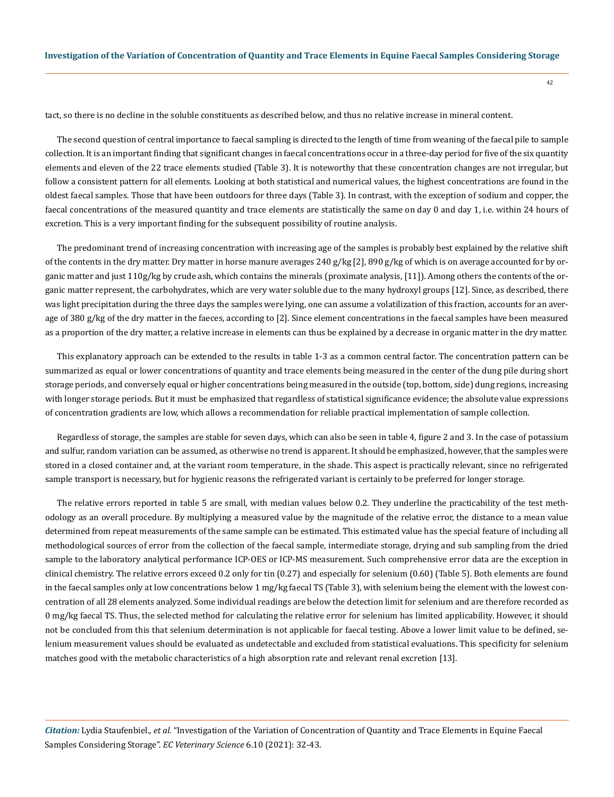tact, so there is no decline in the soluble constituents as described below, and thus no relative increase in mineral content.

The second question of central importance to faecal sampling is directed to the length of time from weaning of the faecal pile to sample collection. It is an important finding that significant changes in faecal concentrations occur in a three-day period for five of the six quantity elements and eleven of the 22 trace elements studied (Table 3). It is noteworthy that these concentration changes are not irregular, but follow a consistent pattern for all elements. Looking at both statistical and numerical values, the highest concentrations are found in the oldest faecal samples. Those that have been outdoors for three days (Table 3). In contrast, with the exception of sodium and copper, the faecal concentrations of the measured quantity and trace elements are statistically the same on day 0 and day 1, i.e. within 24 hours of excretion. This is a very important finding for the subsequent possibility of routine analysis.

The predominant trend of increasing concentration with increasing age of the samples is probably best explained by the relative shift of the contents in the dry matter. Dry matter in horse manure averages 240 g/kg [2], 890 g/kg of which is on average accounted for by organic matter and just 110g/kg by crude ash, which contains the minerals (proximate analysis, [11]). Among others the contents of the organic matter represent, the carbohydrates, which are very water soluble due to the many hydroxyl groups [12]. Since, as described, there was light precipitation during the three days the samples were lying, one can assume a volatilization of this fraction, accounts for an average of 380 g/kg of the dry matter in the faeces, according to [2]. Since element concentrations in the faecal samples have been measured as a proportion of the dry matter, a relative increase in elements can thus be explained by a decrease in organic matter in the dry matter.

This explanatory approach can be extended to the results in table 1-3 as a common central factor. The concentration pattern can be summarized as equal or lower concentrations of quantity and trace elements being measured in the center of the dung pile during short storage periods, and conversely equal or higher concentrations being measured in the outside (top, bottom, side) dung regions, increasing with longer storage periods. But it must be emphasized that regardless of statistical significance evidence; the absolute value expressions of concentration gradients are low, which allows a recommendation for reliable practical implementation of sample collection.

Regardless of storage, the samples are stable for seven days, which can also be seen in table 4, figure 2 and 3. In the case of potassium and sulfur, random variation can be assumed, as otherwise no trend is apparent. It should be emphasized, however, that the samples were stored in a closed container and, at the variant room temperature, in the shade. This aspect is practically relevant, since no refrigerated sample transport is necessary, but for hygienic reasons the refrigerated variant is certainly to be preferred for longer storage.

The relative errors reported in table 5 are small, with median values below 0.2. They underline the practicability of the test methodology as an overall procedure. By multiplying a measured value by the magnitude of the relative error, the distance to a mean value determined from repeat measurements of the same sample can be estimated. This estimated value has the special feature of including all methodological sources of error from the collection of the faecal sample, intermediate storage, drying and sub sampling from the dried sample to the laboratory analytical performance ICP-OES or ICP-MS measurement. Such comprehensive error data are the exception in clinical chemistry. The relative errors exceed 0.2 only for tin (0.27) and especially for selenium (0.60) (Table 5). Both elements are found in the faecal samples only at low concentrations below 1 mg/kg faecal TS (Table 3), with selenium being the element with the lowest concentration of all 28 elements analyzed. Some individual readings are below the detection limit for selenium and are therefore recorded as 0 mg/kg faecal TS. Thus, the selected method for calculating the relative error for selenium has limited applicability. However, it should not be concluded from this that selenium determination is not applicable for faecal testing. Above a lower limit value to be defined, selenium measurement values should be evaluated as undetectable and excluded from statistical evaluations. This specificity for selenium matches good with the metabolic characteristics of a high absorption rate and relevant renal excretion [13].

*Citation:* Lydia Staufenbiel., *et al.* "Investigation of the Variation of Concentration of Quantity and Trace Elements in Equine Faecal Samples Considering Storage". *EC Veterinary Science* 6.10 (2021): 32-43.